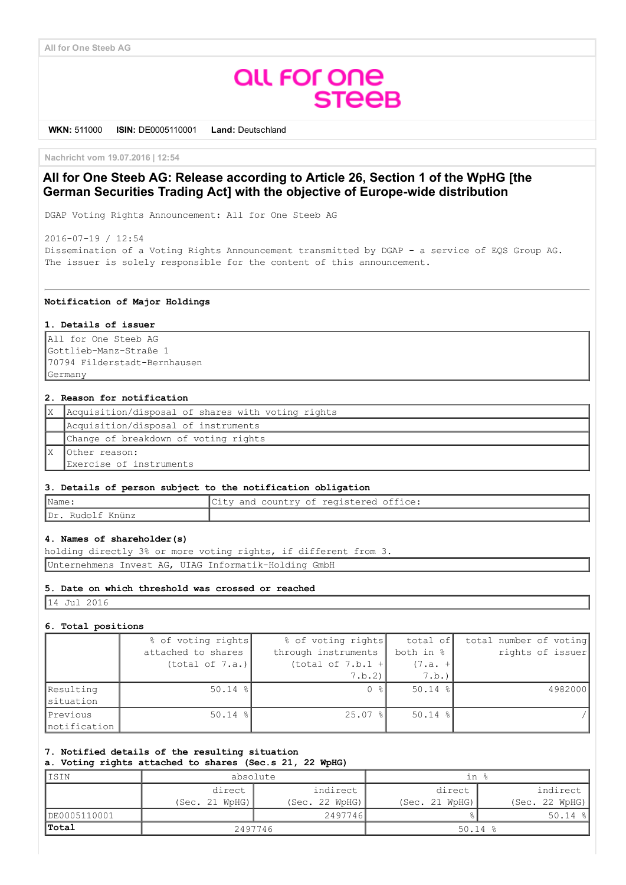# **QUL FOR ONE STEEB**

WKN: 511000 ISIN: DE0005110001 Land: Deutschland

Nachricht vom 19.07.2016 | 12:54

## All for One Steeb AG: Release according to Article 26, Section 1 of the WpHG [the German Securities Trading Act] with the objective of Europe-wide distribution

DGAP Voting Rights Announcement: All for One Steeb AG

20160719 / 12:54 Dissemination of a Voting Rights Announcement transmitted by DGAP a service of EQS Group AG. The issuer is solely responsible for the content of this announcement.

#### Notification of Major Holdings

#### 1. Details of issuer

All for One Steeb AG Gottlieb-Manz-Straße 1 70794 Filderstadt-Bernhausen Germany

#### 2. Reason for notification

| Acquisition/disposal of shares with voting rights |
|---------------------------------------------------|
| Acquisition/disposal of instruments               |
| Change of breakdown of voting rights              |
| lOther reason:                                    |
| Exercise of instruments                           |

#### 3. Details of person subject to the notification obligation

| $\blacksquare$ Name | City and country of registered office: |
|---------------------|----------------------------------------|
| IDr. Rudolf Knünz   |                                        |

#### 4. Names of shareholder(s)

holding directly 3% or more voting rights, if different from 3. Unternehmens Invest AG, UIAG Informatik-Holding GmbH

## 5. Date on which threshold was crossed or reached

14 Jul 2016

#### 6. Total positions

|                           | % of voting rights<br>attached to shares | % of voting rights<br>through instruments | total of<br>both in % | total number of voting<br>rights of issuer |
|---------------------------|------------------------------------------|-------------------------------------------|-----------------------|--------------------------------------------|
|                           | (total of 7.a.)                          | (total of 7.b.1 +<br>7.b.2)               | $(7.a. +$<br>7.b.)    |                                            |
| Resulting<br>situation    | $50.14$ %                                | 0<br>း – ေ                                | $50.14$ %             | 4982000                                    |
| Previous<br>Inotification | $50.14$ %                                | $25.07$ %                                 | $50.14$ %             |                                            |

### 7. Notified details of the resulting situation

a. Voting rights attached to shares (Sec.s 21, 22 WpHG)

| ISIN         | absolute       |                | in %           |                |
|--------------|----------------|----------------|----------------|----------------|
|              | direct         | indirect       | direct         | indirect       |
|              | (Sec. 21 WPHG) | (Sec. 22 WPHG) | (Sec. 21 WpHG) | (Sec. 22 WpHG) |
| DE0005110001 |                | 2497746        |                | $50.14$ %      |
| <b>Total</b> | 2497746        |                | $50.14$ %      |                |